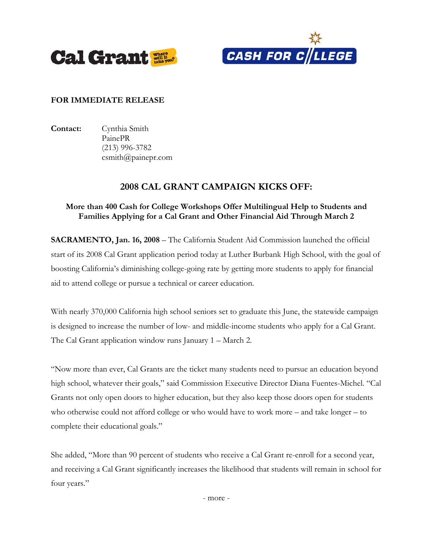



## **FOR IMMEDIATE RELEASE**

**Contact:** Cynthia Smith PainePR (213) 996-3782 csmith@painepr.com

## **2008 CAL GRANT CAMPAIGN KICKS OFF:**

## **More than 400 Cash for College Workshops Offer Multilingual Help to Students and Families Applying for a Cal Grant and Other Financial Aid Through March 2**

**SACRAMENTO, Jan. 16, 2008** – The California Student Aid Commission launched the official start of its 2008 Cal Grant application period today at Luther Burbank High School, with the goal of boosting California's diminishing college-going rate by getting more students to apply for financial aid to attend college or pursue a technical or career education.

With nearly 370,000 California high school seniors set to graduate this June, the statewide campaign is designed to increase the number of low- and middle-income students who apply for a Cal Grant. The Cal Grant application window runs January 1 – March 2.

"Now more than ever, Cal Grants are the ticket many students need to pursue an education beyond high school, whatever their goals," said Commission Executive Director Diana Fuentes-Michel. "Cal Grants not only open doors to higher education, but they also keep those doors open for students who otherwise could not afford college or who would have to work more – and take longer – to complete their educational goals."

She added, "More than 90 percent of students who receive a Cal Grant re-enroll for a second year, and receiving a Cal Grant significantly increases the likelihood that students will remain in school for four years."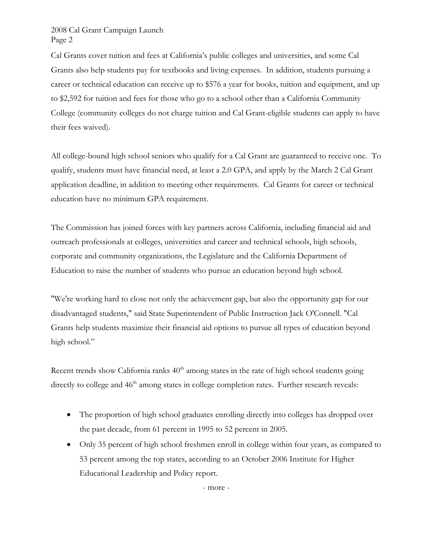Cal Grants cover tuition and fees at California's public colleges and universities, and some Cal Grants also help students pay for textbooks and living expenses. In addition, students pursuing a career or technical education can receive up to \$576 a year for books, tuition and equipment, and up to \$2,592 for tuition and fees for those who go to a school other than a California Community College (community colleges do not charge tuition and Cal Grant-eligible students can apply to have their fees waived).

All college-bound high school seniors who qualify for a Cal Grant are guaranteed to receive one. To qualify, students must have financial need, at least a 2.0 GPA, and apply by the March 2 Cal Grant application deadline, in addition to meeting other requirements. Cal Grants for career or technical education have no minimum GPA requirement.

The Commission has joined forces with key partners across California, including financial aid and outreach professionals at colleges, universities and career and technical schools, high schools, corporate and community organizations, the Legislature and the California Department of Education to raise the number of students who pursue an education beyond high school.

"We're working hard to close not only the achievement gap, but also the opportunity gap for our disadvantaged students," said State Superintendent of Public Instruction Jack O'Connell. "Cal Grants help students maximize their financial aid options to pursue all types of education beyond high school."

Recent trends show California ranks  $40<sup>th</sup>$  among states in the rate of high school students going directly to college and 46<sup>th</sup> among states in college completion rates. Further research reveals:

- The proportion of high school graduates enrolling directly into colleges has dropped over the past decade, from 61 percent in 1995 to 52 percent in 2005.
- Only 35 percent of high school freshmen enroll in college within four years, as compared to 53 percent among the top states, according to an October 2006 Institute for Higher Educational Leadership and Policy report.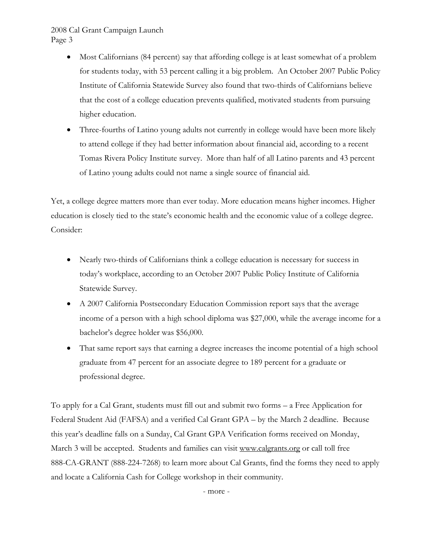- Most Californians (84 percent) say that affording college is at least somewhat of a problem for students today, with 53 percent calling it a big problem. An October 2007 Public Policy Institute of California Statewide Survey also found that two-thirds of Californians believe that the cost of a college education prevents qualified, motivated students from pursuing higher education.
- Three-fourths of Latino young adults not currently in college would have been more likely to attend college if they had better information about financial aid, according to a recent Tomas Rivera Policy Institute survey. More than half of all Latino parents and 43 percent of Latino young adults could not name a single source of financial aid.

Yet, a college degree matters more than ever today. More education means higher incomes. Higher education is closely tied to the state's economic health and the economic value of a college degree. Consider:

- Nearly two-thirds of Californians think a college education is necessary for success in today's workplace, according to an October 2007 Public Policy Institute of California Statewide Survey.
- A 2007 California Postsecondary Education Commission report says that the average income of a person with a high school diploma was \$27,000, while the average income for a bachelor's degree holder was \$56,000.
- That same report says that earning a degree increases the income potential of a high school graduate from 47 percent for an associate degree to 189 percent for a graduate or professional degree.

To apply for a Cal Grant, students must fill out and submit two forms – a Free Application for Federal Student Aid (FAFSA) and a verified Cal Grant GPA – by the March 2 deadline. Because this year's deadline falls on a Sunday, Cal Grant GPA Verification forms received on Monday, March 3 will be accepted. Students and families can visit www.calgrants.org or call toll free 888-CA-GRANT (888-224-7268) to learn more about Cal Grants, find the forms they need to apply and locate a California Cash for College workshop in their community.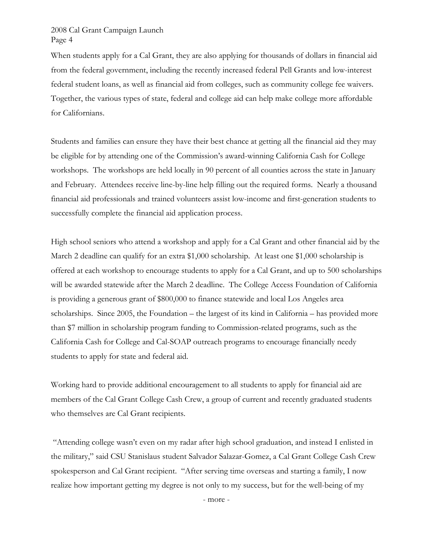When students apply for a Cal Grant, they are also applying for thousands of dollars in financial aid from the federal government, including the recently increased federal Pell Grants and low-interest federal student loans, as well as financial aid from colleges, such as community college fee waivers. Together, the various types of state, federal and college aid can help make college more affordable for Californians.

Students and families can ensure they have their best chance at getting all the financial aid they may be eligible for by attending one of the Commission's award-winning California Cash for College workshops. The workshops are held locally in 90 percent of all counties across the state in January and February. Attendees receive line-by-line help filling out the required forms. Nearly a thousand financial aid professionals and trained volunteers assist low-income and first-generation students to successfully complete the financial aid application process.

High school seniors who attend a workshop and apply for a Cal Grant and other financial aid by the March 2 deadline can qualify for an extra \$1,000 scholarship. At least one \$1,000 scholarship is offered at each workshop to encourage students to apply for a Cal Grant, and up to 500 scholarships will be awarded statewide after the March 2 deadline. The College Access Foundation of California is providing a generous grant of \$800,000 to finance statewide and local Los Angeles area scholarships. Since 2005, the Foundation – the largest of its kind in California – has provided more than \$7 million in scholarship program funding to Commission-related programs, such as the California Cash for College and Cal-SOAP outreach programs to encourage financially needy students to apply for state and federal aid.

Working hard to provide additional encouragement to all students to apply for financial aid are members of the Cal Grant College Cash Crew, a group of current and recently graduated students who themselves are Cal Grant recipients.

 "Attending college wasn't even on my radar after high school graduation, and instead I enlisted in the military," said CSU Stanislaus student Salvador Salazar-Gomez, a Cal Grant College Cash Crew spokesperson and Cal Grant recipient. "After serving time overseas and starting a family, I now realize how important getting my degree is not only to my success, but for the well-being of my